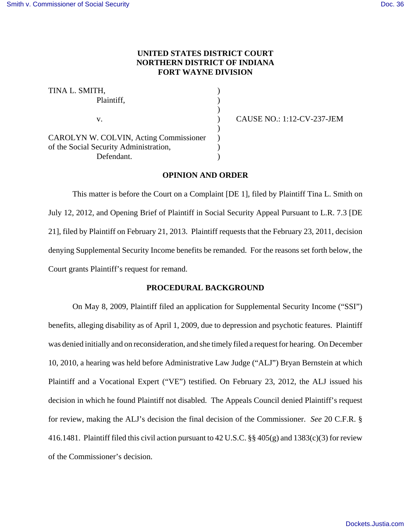# **UNITED STATES DISTRICT COURT NORTHERN DISTRICT OF INDIANA FORT WAYNE DIVISION**

TINA L. SMITH, Plaintiff,  $\qquad \qquad$ ) ) v. ) CAUSE NO.: 1:12-CV-237-JEM  $\lambda$ CAROLYN W. COLVIN, Acting Commissioner ) of the Social Security Administration, Defendant.

## **OPINION AND ORDER**

This matter is before the Court on a Complaint [DE 1], filed by Plaintiff Tina L. Smith on July 12, 2012, and Opening Brief of Plaintiff in Social Security Appeal Pursuant to L.R. 7.3 [DE 21], filed by Plaintiff on February 21, 2013. Plaintiff requests that the February 23, 2011, decision denying Supplemental Security Income benefits be remanded. For the reasons set forth below, the Court grants Plaintiff's request for remand.

## **PROCEDURAL BACKGROUND**

On May 8, 2009, Plaintiff filed an application for Supplemental Security Income ("SSI") benefits, alleging disability as of April 1, 2009, due to depression and psychotic features. Plaintiff was denied initially and on reconsideration, and she timely filed a request for hearing. On December 10, 2010, a hearing was held before Administrative Law Judge ("ALJ") Bryan Bernstein at which Plaintiff and a Vocational Expert ("VE") testified. On February 23, 2012, the ALJ issued his decision in which he found Plaintiff not disabled. The Appeals Council denied Plaintiff's request for review, making the ALJ's decision the final decision of the Commissioner. *See* 20 C.F.R. § 416.1481. Plaintiff filed this civil action pursuant to 42 U.S.C. §§ 405(g) and 1383(c)(3) for review of the Commissioner's decision.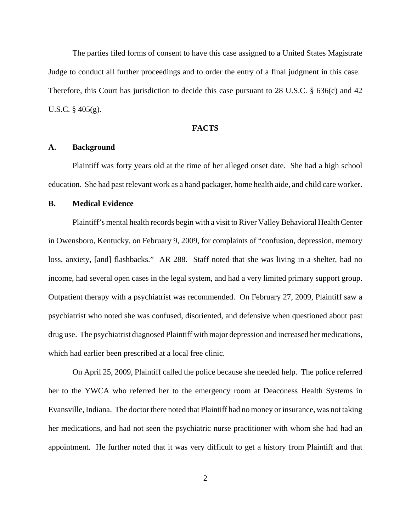The parties filed forms of consent to have this case assigned to a United States Magistrate Judge to conduct all further proceedings and to order the entry of a final judgment in this case. Therefore, this Court has jurisdiction to decide this case pursuant to 28 U.S.C. § 636(c) and 42 U.S.C. § 405(g).

#### **FACTS**

#### **A. Background**

Plaintiff was forty years old at the time of her alleged onset date. She had a high school education. She had past relevant work as a hand packager, home health aide, and child care worker.

## **B. Medical Evidence**

Plaintiff's mental health records begin with a visit to River Valley Behavioral Health Center in Owensboro, Kentucky, on February 9, 2009, for complaints of "confusion, depression, memory loss, anxiety, [and] flashbacks." AR 288. Staff noted that she was living in a shelter, had no income, had several open cases in the legal system, and had a very limited primary support group. Outpatient therapy with a psychiatrist was recommended. On February 27, 2009, Plaintiff saw a psychiatrist who noted she was confused, disoriented, and defensive when questioned about past drug use. The psychiatrist diagnosed Plaintiff with major depression and increased her medications, which had earlier been prescribed at a local free clinic.

On April 25, 2009, Plaintiff called the police because she needed help. The police referred her to the YWCA who referred her to the emergency room at Deaconess Health Systems in Evansville, Indiana. The doctor there noted that Plaintiff had no money or insurance, was not taking her medications, and had not seen the psychiatric nurse practitioner with whom she had had an appointment. He further noted that it was very difficult to get a history from Plaintiff and that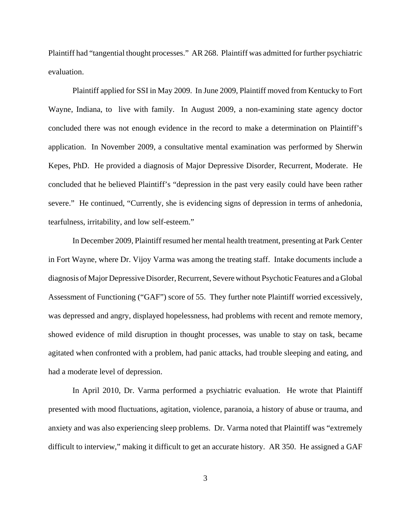Plaintiff had "tangential thought processes." AR 268. Plaintiff was admitted for further psychiatric evaluation.

Plaintiff applied for SSI in May 2009. In June 2009, Plaintiff moved from Kentucky to Fort Wayne, Indiana, to live with family. In August 2009, a non-examining state agency doctor concluded there was not enough evidence in the record to make a determination on Plaintiff's application. In November 2009, a consultative mental examination was performed by Sherwin Kepes, PhD. He provided a diagnosis of Major Depressive Disorder, Recurrent, Moderate. He concluded that he believed Plaintiff's "depression in the past very easily could have been rather severe." He continued, "Currently, she is evidencing signs of depression in terms of anhedonia, tearfulness, irritability, and low self-esteem."

In December 2009, Plaintiff resumed her mental health treatment, presenting at Park Center in Fort Wayne, where Dr. Vijoy Varma was among the treating staff. Intake documents include a diagnosis of Major Depressive Disorder, Recurrent, Severe without Psychotic Features and a Global Assessment of Functioning ("GAF") score of 55. They further note Plaintiff worried excessively, was depressed and angry, displayed hopelessness, had problems with recent and remote memory, showed evidence of mild disruption in thought processes, was unable to stay on task, became agitated when confronted with a problem, had panic attacks, had trouble sleeping and eating, and had a moderate level of depression.

In April 2010, Dr. Varma performed a psychiatric evaluation. He wrote that Plaintiff presented with mood fluctuations, agitation, violence, paranoia, a history of abuse or trauma, and anxiety and was also experiencing sleep problems. Dr. Varma noted that Plaintiff was "extremely difficult to interview," making it difficult to get an accurate history. AR 350. He assigned a GAF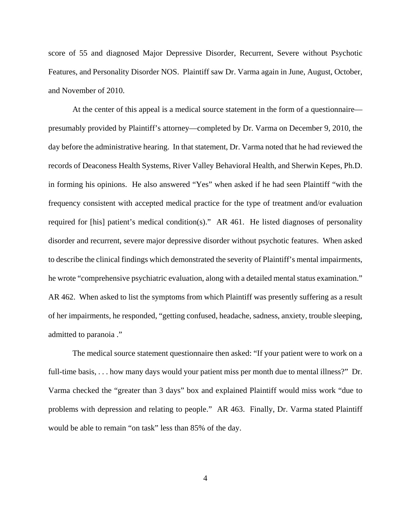score of 55 and diagnosed Major Depressive Disorder, Recurrent, Severe without Psychotic Features, and Personality Disorder NOS. Plaintiff saw Dr. Varma again in June, August, October, and November of 2010.

At the center of this appeal is a medical source statement in the form of a questionnaire presumably provided by Plaintiff's attorney—completed by Dr. Varma on December 9, 2010, the day before the administrative hearing. In that statement, Dr. Varma noted that he had reviewed the records of Deaconess Health Systems, River Valley Behavioral Health, and Sherwin Kepes, Ph.D. in forming his opinions. He also answered "Yes" when asked if he had seen Plaintiff "with the frequency consistent with accepted medical practice for the type of treatment and/or evaluation required for [his] patient's medical condition(s)." AR 461. He listed diagnoses of personality disorder and recurrent, severe major depressive disorder without psychotic features. When asked to describe the clinical findings which demonstrated the severity of Plaintiff's mental impairments, he wrote "comprehensive psychiatric evaluation, along with a detailed mental status examination." AR 462. When asked to list the symptoms from which Plaintiff was presently suffering as a result of her impairments, he responded, "getting confused, headache, sadness, anxiety, trouble sleeping, admitted to paranoia ."

The medical source statement questionnaire then asked: "If your patient were to work on a full-time basis, . . . how many days would your patient miss per month due to mental illness?" Dr. Varma checked the "greater than 3 days" box and explained Plaintiff would miss work "due to problems with depression and relating to people." AR 463. Finally, Dr. Varma stated Plaintiff would be able to remain "on task" less than 85% of the day.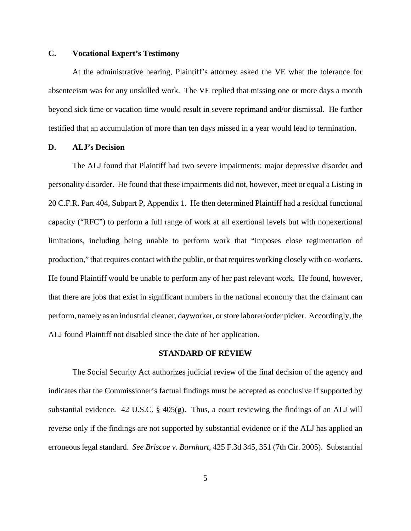# **C. Vocational Expert's Testimony**

At the administrative hearing, Plaintiff's attorney asked the VE what the tolerance for absenteeism was for any unskilled work. The VE replied that missing one or more days a month beyond sick time or vacation time would result in severe reprimand and/or dismissal. He further testified that an accumulation of more than ten days missed in a year would lead to termination.

# **D. ALJ's Decision**

The ALJ found that Plaintiff had two severe impairments: major depressive disorder and personality disorder. He found that these impairments did not, however, meet or equal a Listing in 20 C.F.R. Part 404, Subpart P, Appendix 1. He then determined Plaintiff had a residual functional capacity ("RFC") to perform a full range of work at all exertional levels but with nonexertional limitations, including being unable to perform work that "imposes close regimentation of production," that requires contact with the public, or that requires working closely with co-workers. He found Plaintiff would be unable to perform any of her past relevant work. He found, however, that there are jobs that exist in significant numbers in the national economy that the claimant can perform, namely as an industrial cleaner, dayworker, or store laborer/order picker. Accordingly, the ALJ found Plaintiff not disabled since the date of her application.

#### **STANDARD OF REVIEW**

The Social Security Act authorizes judicial review of the final decision of the agency and indicates that the Commissioner's factual findings must be accepted as conclusive if supported by substantial evidence. 42 U.S.C.  $\S$  405(g). Thus, a court reviewing the findings of an ALJ will reverse only if the findings are not supported by substantial evidence or if the ALJ has applied an erroneous legal standard. *See Briscoe v. Barnhart*, 425 F.3d 345, 351 (7th Cir. 2005). Substantial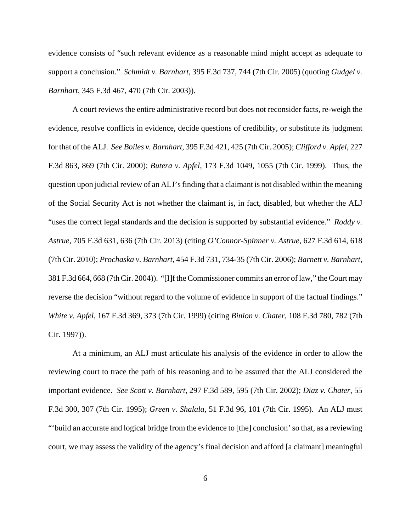evidence consists of "such relevant evidence as a reasonable mind might accept as adequate to support a conclusion." *Schmidt v. Barnhart*, 395 F.3d 737, 744 (7th Cir. 2005) (quoting *Gudgel v. Barnhart*, 345 F.3d 467, 470 (7th Cir. 2003)).

A court reviews the entire administrative record but does not reconsider facts, re-weigh the evidence, resolve conflicts in evidence, decide questions of credibility, or substitute its judgment for that of the ALJ. *See Boiles v. Barnhart*, 395 F.3d 421, 425 (7th Cir. 2005); *Clifford v. Apfel*, 227 F.3d 863, 869 (7th Cir. 2000); *Butera v. Apfel*, 173 F.3d 1049, 1055 (7th Cir. 1999). Thus, the question upon judicial review of an ALJ's finding that a claimant is not disabled within the meaning of the Social Security Act is not whether the claimant is, in fact, disabled, but whether the ALJ "uses the correct legal standards and the decision is supported by substantial evidence." *Roddy v. Astrue,* 705 F.3d 631, 636 (7th Cir. 2013) (citing *O'Connor-Spinner v. Astrue*, 627 F.3d 614, 618 (7th Cir. 2010); *Prochaska v. Barnhart*, 454 F.3d 731, 734-35 (7th Cir. 2006); *Barnett v. Barnhart*, 381 F.3d 664, 668 (7th Cir. 2004)). "[I]f the Commissioner commits an error of law," the Court may reverse the decision "without regard to the volume of evidence in support of the factual findings." *White v. Apfel*, 167 F.3d 369, 373 (7th Cir. 1999) (citing *Binion v. Chater*, 108 F.3d 780, 782 (7th Cir. 1997)).

At a minimum, an ALJ must articulate his analysis of the evidence in order to allow the reviewing court to trace the path of his reasoning and to be assured that the ALJ considered the important evidence. *See Scott v. Barnhart*, 297 F.3d 589, 595 (7th Cir. 2002); *Diaz v. Chater*, 55 F.3d 300, 307 (7th Cir. 1995); *Green v. Shalala*, 51 F.3d 96, 101 (7th Cir. 1995). An ALJ must "'build an accurate and logical bridge from the evidence to [the] conclusion' so that, as a reviewing court, we may assess the validity of the agency's final decision and afford [a claimant] meaningful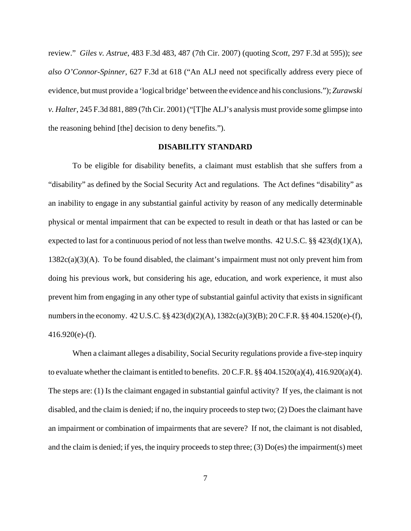review." *Giles v. Astrue*, 483 F.3d 483, 487 (7th Cir. 2007) (quoting *Scott*, 297 F.3d at 595)); *see also O'Connor-Spinner*, 627 F.3d at 618 ("An ALJ need not specifically address every piece of evidence, but must provide a 'logical bridge' between the evidence and his conclusions."); *Zurawski v. Halter*, 245 F.3d 881, 889 (7th Cir. 2001) ("[T]he ALJ's analysis must provide some glimpse into the reasoning behind [the] decision to deny benefits.").

#### **DISABILITY STANDARD**

To be eligible for disability benefits, a claimant must establish that she suffers from a "disability" as defined by the Social Security Act and regulations. The Act defines "disability" as an inability to engage in any substantial gainful activity by reason of any medically determinable physical or mental impairment that can be expected to result in death or that has lasted or can be expected to last for a continuous period of not less than twelve months. 42 U.S.C. §§ 423(d)(1)(A),  $1382c(a)(3)(A)$ . To be found disabled, the claimant's impairment must not only prevent him from doing his previous work, but considering his age, education, and work experience, it must also prevent him from engaging in any other type of substantial gainful activity that exists in significant numbers in the economy. 42 U.S.C. §§ 423(d)(2)(A), 1382c(a)(3)(B); 20 C.F.R. §§ 404.1520(e)-(f),  $416.920(e)$ -(f).

When a claimant alleges a disability, Social Security regulations provide a five-step inquiry to evaluate whether the claimant is entitled to benefits. 20 C.F.R. §§ 404.1520(a)(4), 416.920(a)(4). The steps are: (1) Is the claimant engaged in substantial gainful activity? If yes, the claimant is not disabled, and the claim is denied; if no, the inquiry proceeds to step two; (2) Does the claimant have an impairment or combination of impairments that are severe? If not, the claimant is not disabled, and the claim is denied; if yes, the inquiry proceeds to step three; (3) Do(es) the impairment(s) meet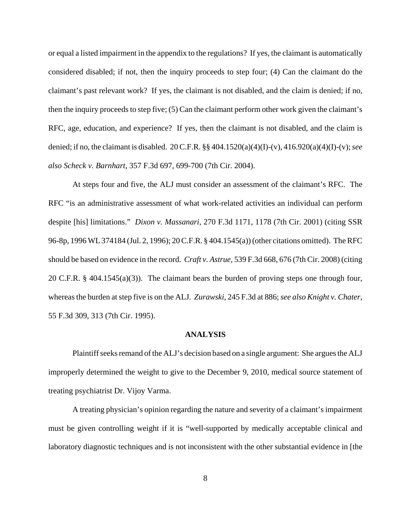or equal a listed impairment in the appendix to the regulations? If yes, the claimant is automatically considered disabled; if not, then the inquiry proceeds to step four; (4) Can the claimant do the claimant's past relevant work? If yes, the claimant is not disabled, and the claim is denied; if no, then the inquiry proceeds to step five; (5) Can the claimant perform other work given the claimant's RFC, age, education, and experience? If yes, then the claimant is not disabled, and the claim is denied; if no, the claimant is disabled. 20 C.F.R. §§ 404.1520(a)(4)(I)-(v), 416.920(a)(4)(I)-(v); *see also Scheck v. Barnhart*, 357 F.3d 697, 699-700 (7th Cir. 2004).

At steps four and five, the ALJ must consider an assessment of the claimant's RFC. The RFC "is an administrative assessment of what work-related activities an individual can perform despite [his] limitations." *Dixon v. Massanari*, 270 F.3d 1171, 1178 (7th Cir. 2001) (citing SSR 96-8p, 1996 WL 374184 (Jul. 2, 1996); 20 C.F.R. § 404.1545(a)) (other citations omitted). The RFC should be based on evidence in the record. *Craft v. Astrue*, 539 F.3d 668, 676 (7th Cir. 2008) (citing 20 C.F.R. § 404.1545(a)(3)). The claimant bears the burden of proving steps one through four, whereas the burden at step five is on the ALJ. *Zurawski*, 245 F.3d at 886; *see also Knight v. Chater*, 55 F.3d 309, 313 (7th Cir. 1995).

#### **ANALYSIS**

Plaintiff seeks remand of the ALJ's decision based on a single argument: She argues the ALJ improperly determined the weight to give to the December 9, 2010, medical source statement of treating psychiatrist Dr. Vijoy Varma.

A treating physician's opinion regarding the nature and severity of a claimant's impairment must be given controlling weight if it is "well-supported by medically acceptable clinical and laboratory diagnostic techniques and is not inconsistent with the other substantial evidence in [the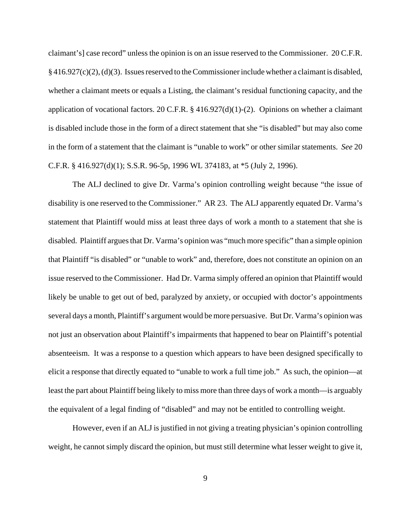claimant's] case record" unless the opinion is on an issue reserved to the Commissioner. 20 C.F.R. § 416.927(c)(2), (d)(3). Issues reserved to the Commissioner include whether a claimant is disabled, whether a claimant meets or equals a Listing, the claimant's residual functioning capacity, and the application of vocational factors. 20 C.F.R. § 416.927(d)(1)-(2). Opinions on whether a claimant is disabled include those in the form of a direct statement that she "is disabled" but may also come in the form of a statement that the claimant is "unable to work" or other similar statements. *See* 20 C.F.R. § 416.927(d)(1); S.S.R. 96-5p, 1996 WL 374183, at \*5 (July 2, 1996).

The ALJ declined to give Dr. Varma's opinion controlling weight because "the issue of disability is one reserved to the Commissioner." AR 23. The ALJ apparently equated Dr. Varma's statement that Plaintiff would miss at least three days of work a month to a statement that she is disabled. Plaintiff argues that Dr. Varma's opinion was "much more specific" than a simple opinion that Plaintiff "is disabled" or "unable to work" and, therefore, does not constitute an opinion on an issue reserved to the Commissioner. Had Dr. Varma simply offered an opinion that Plaintiff would likely be unable to get out of bed, paralyzed by anxiety, or occupied with doctor's appointments several days a month, Plaintiff's argument would be more persuasive. But Dr. Varma's opinion was not just an observation about Plaintiff's impairments that happened to bear on Plaintiff's potential absenteeism. It was a response to a question which appears to have been designed specifically to elicit a response that directly equated to "unable to work a full time job." As such, the opinion—at least the part about Plaintiff being likely to miss more than three days of work a month—is arguably the equivalent of a legal finding of "disabled" and may not be entitled to controlling weight.

However, even if an ALJ is justified in not giving a treating physician's opinion controlling weight, he cannot simply discard the opinion, but must still determine what lesser weight to give it,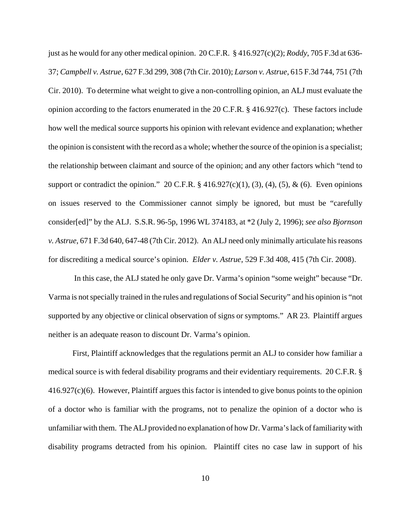just as he would for any other medical opinion. 20 C.F.R. § 416.927(c)(2); *Roddy*, 705 F.3d at 636- 37; *Campbell v. Astrue*, 627 F.3d 299, 308 (7th Cir. 2010); *Larson v. Astrue*, 615 F.3d 744, 751 (7th Cir. 2010). To determine what weight to give a non-controlling opinion, an ALJ must evaluate the opinion according to the factors enumerated in the 20 C.F.R. § 416.927(c). These factors include how well the medical source supports his opinion with relevant evidence and explanation; whether the opinion is consistent with the record as a whole; whether the source of the opinion is a specialist; the relationship between claimant and source of the opinion; and any other factors which "tend to support or contradict the opinion." 20 C.F.R.  $\S$  416.927(c)(1), (3), (4), (5), & (6). Even opinions on issues reserved to the Commissioner cannot simply be ignored, but must be "carefully consider[ed]" by the ALJ. S.S.R. 96-5p, 1996 WL 374183, at \*2 (July 2, 1996); *see also Bjornson v. Astrue*, 671 F.3d 640, 647-48 (7th Cir. 2012). An ALJ need only minimally articulate his reasons for discrediting a medical source's opinion. *Elder v. Astrue*, 529 F.3d 408, 415 (7th Cir. 2008).

 In this case, the ALJ stated he only gave Dr. Varma's opinion "some weight" because "Dr. Varma is not specially trained in the rules and regulations of Social Security" and his opinion is "not supported by any objective or clinical observation of signs or symptoms." AR 23. Plaintiff argues neither is an adequate reason to discount Dr. Varma's opinion.

First, Plaintiff acknowledges that the regulations permit an ALJ to consider how familiar a medical source is with federal disability programs and their evidentiary requirements. 20 C.F.R. § 416.927(c)(6). However, Plaintiff argues this factor is intended to give bonus points to the opinion of a doctor who is familiar with the programs, not to penalize the opinion of a doctor who is unfamiliar with them. The ALJ provided no explanation of how Dr. Varma's lack of familiarity with disability programs detracted from his opinion. Plaintiff cites no case law in support of his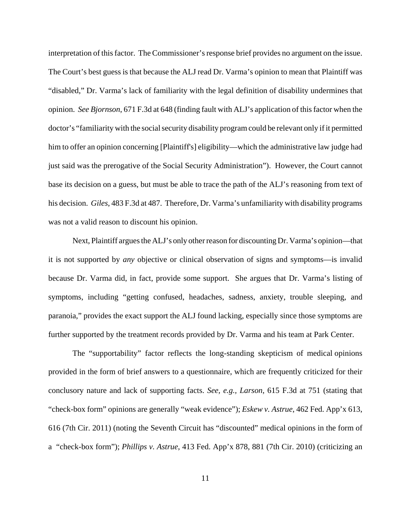interpretation of this factor. The Commissioner's response brief provides no argument on the issue. The Court's best guess is that because the ALJ read Dr. Varma's opinion to mean that Plaintiff was "disabled," Dr. Varma's lack of familiarity with the legal definition of disability undermines that opinion. *See Bjornson*, 671 F.3d at 648 (finding fault with ALJ's application of this factor when the doctor's "familiarity with the social security disability program could be relevant only if it permitted him to offer an opinion concerning [Plaintiff's] eligibility—which the administrative law judge had just said was the prerogative of the Social Security Administration"). However, the Court cannot base its decision on a guess, but must be able to trace the path of the ALJ's reasoning from text of his decision. *Giles*, 483 F.3d at 487. Therefore, Dr. Varma's unfamiliarity with disability programs was not a valid reason to discount his opinion.

Next, Plaintiff argues the ALJ's only other reason for discounting Dr. Varma's opinion—that it is not supported by *any* objective or clinical observation of signs and symptoms—is invalid because Dr. Varma did, in fact, provide some support. She argues that Dr. Varma's listing of symptoms, including "getting confused, headaches, sadness, anxiety, trouble sleeping, and paranoia," provides the exact support the ALJ found lacking, especially since those symptoms are further supported by the treatment records provided by Dr. Varma and his team at Park Center.

 The "supportability" factor reflects the long-standing skepticism of medical opinions provided in the form of brief answers to a questionnaire, which are frequently criticized for their conclusory nature and lack of supporting facts. *See, e.g., Larson*, 615 F.3d at 751 (stating that "check-box form" opinions are generally "weak evidence"); *Eskew v. Astrue*, 462 Fed. App'x 613, 616 (7th Cir. 2011) (noting the Seventh Circuit has "discounted" medical opinions in the form of a "check-box form"); *Phillips v. Astrue*, 413 Fed. App'x 878, 881 (7th Cir. 2010) (criticizing an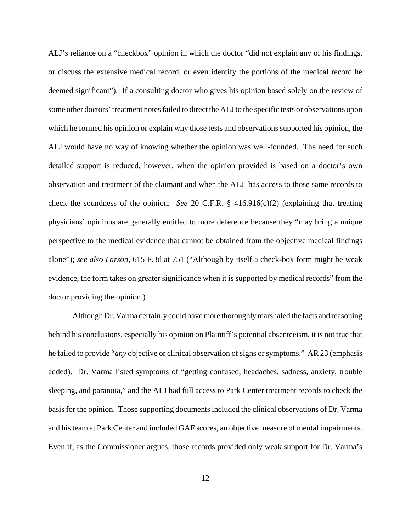ALJ's reliance on a "checkbox" opinion in which the doctor "did not explain any of his findings, or discuss the extensive medical record, or even identify the portions of the medical record he deemed significant"). If a consulting doctor who gives his opinion based solely on the review of some other doctors' treatment notes failed to direct the ALJ to the specific tests or observations upon which he formed his opinion or explain why those tests and observations supported his opinion, the ALJ would have no way of knowing whether the opinion was well-founded. The need for such detailed support is reduced, however, when the opinion provided is based on a doctor's own observation and treatment of the claimant and when the ALJ has access to those same records to check the soundness of the opinion. *See* 20 C.F.R. § 416.916(c)(2) (explaining that treating physicians' opinions are generally entitled to more deference because they "may bring a unique perspective to the medical evidence that cannot be obtained from the objective medical findings alone"); *see also Larson,* 615 F.3d at 751 ("Although by itself a check-box form might be weak evidence, the form takes on greater significance when it is supported by medical records" from the doctor providing the opinion.)

Although Dr. Varma certainly could have more thoroughly marshaled the facts and reasoning behind his conclusions, especially his opinion on Plaintiff's potential absenteeism, it is not true that he failed to provide "*any* objective or clinical observation of signs or symptoms." AR 23 (emphasis added). Dr. Varma listed symptoms of "getting confused, headaches, sadness, anxiety, trouble sleeping, and paranoia," and the ALJ had full access to Park Center treatment records to check the basis for the opinion. Those supporting documents included the clinical observations of Dr. Varma and his team at Park Center and included GAF scores, an objective measure of mental impairments. Even if, as the Commissioner argues, those records provided only weak support for Dr. Varma's